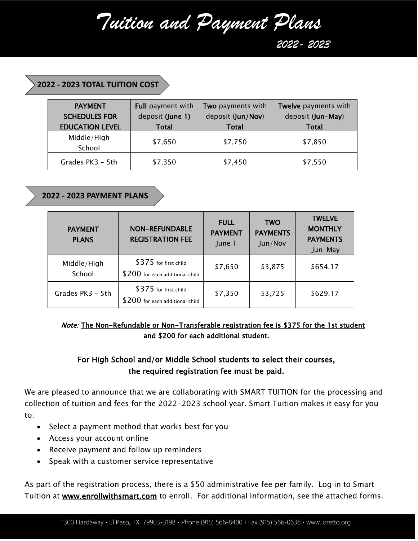*Tuition and Payment Plans*

 *2022- 2023*

#### **2022 - 2023 TOTAL TUITION COST**

| <b>PAYMENT</b><br><b>SCHEDULES FOR</b><br><b>EDUCATION LEVEL</b> | <b>Full payment with</b><br>deposit (June 1)<br><b>Total</b> | Two payments with<br>deposit (Jun/Nov)<br><b>Total</b> | Twelve payments with<br>deposit (Jun-May)<br><b>Total</b> |
|------------------------------------------------------------------|--------------------------------------------------------------|--------------------------------------------------------|-----------------------------------------------------------|
| Middle/High<br>School                                            | \$7,650                                                      | \$7,750                                                | \$7,850                                                   |
| Grades PK3 - 5th                                                 | \$7,350                                                      | \$7,450                                                | \$7,550                                                   |

**2022 - 2023 PAYMENT PLANS**

| <b>PAYMENT</b><br><b>PLANS</b> | <b>NON-REFUNDABLE</b><br><b>REGISTRATION FEE</b>         | <b>FULL</b><br><b>PAYMENT</b><br>June 1 | <b>TWO</b><br><b>PAYMENTS</b><br>Jun/Nov | <b>TWELVE</b><br><b>MONTHLY</b><br><b>PAYMENTS</b><br>Jun-May |
|--------------------------------|----------------------------------------------------------|-----------------------------------------|------------------------------------------|---------------------------------------------------------------|
| Middle/High<br>School          | \$375 for first child<br>\$200 for each additional child | \$7,650                                 | \$3,875                                  | \$654.17                                                      |
| Grades PK3 - 5th               | \$375 for first child<br>\$200 for each additional child | \$7,350                                 | \$3,725                                  | \$629.17                                                      |

### Note: The Non-Refundable or Non-Transferable registration fee is \$375 for the 1st student and \$200 for each additional student.

## For High School and/or Middle School students to select their courses, the required registration fee must be paid.

We are pleased to announce that we are collaborating with SMART TUITION for the processing and collection of tuition and fees for the 2022-2023 school year. Smart Tuition makes it easy for you to:

- Select a payment method that works best for you
- Access your account online
- Receive payment and follow up reminders
- Speak with a customer service representative

As part of the registration process, there is a \$50 administrative fee per family. Log in to Smart Tuition at **www.enrollwithsmart.com** to enroll. For additional information, see the attached forms.